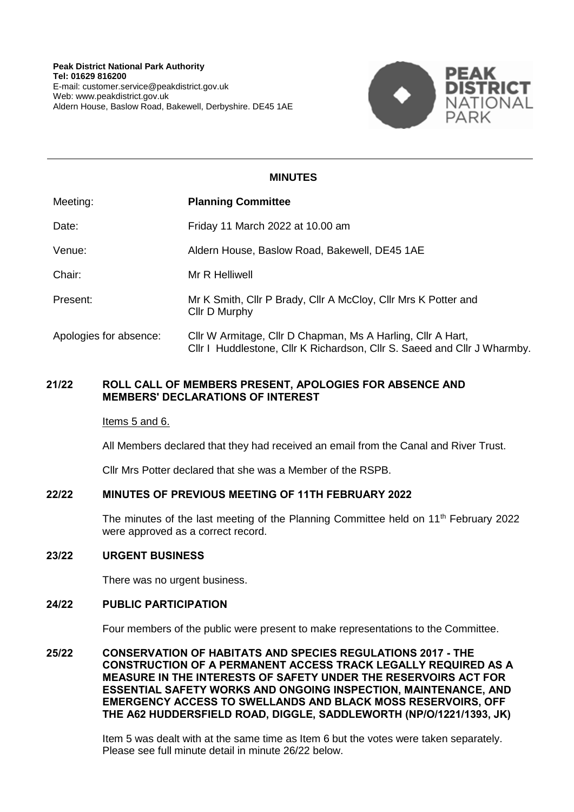

# **MINUTES**

| Meeting:               | <b>Planning Committee</b>                                                                                                               |
|------------------------|-----------------------------------------------------------------------------------------------------------------------------------------|
| Date:                  | Friday 11 March 2022 at 10.00 am                                                                                                        |
| Venue:                 | Aldern House, Baslow Road, Bakewell, DE45 1AE                                                                                           |
| Chair:                 | Mr R Helliwell                                                                                                                          |
| Present:               | Mr K Smith, Cllr P Brady, Cllr A McCloy, Cllr Mrs K Potter and<br>Cllr D Murphy                                                         |
| Apologies for absence: | Cllr W Armitage, Cllr D Chapman, Ms A Harling, Cllr A Hart,<br>CIIr I Huddlestone, CIIr K Richardson, CIIr S. Saeed and CIIr J Wharmby. |

## **21/22 ROLL CALL OF MEMBERS PRESENT, APOLOGIES FOR ABSENCE AND MEMBERS' DECLARATIONS OF INTEREST**

#### Items 5 and 6.

All Members declared that they had received an email from the Canal and River Trust.

Cllr Mrs Potter declared that she was a Member of the RSPB.

### **22/22 MINUTES OF PREVIOUS MEETING OF 11TH FEBRUARY 2022**

The minutes of the last meeting of the Planning Committee held on  $11<sup>th</sup>$  February 2022 were approved as a correct record.

#### **23/22 URGENT BUSINESS**

There was no urgent business.

#### **24/22 PUBLIC PARTICIPATION**

Four members of the public were present to make representations to the Committee.

**25/22 CONSERVATION OF HABITATS AND SPECIES REGULATIONS 2017 - THE CONSTRUCTION OF A PERMANENT ACCESS TRACK LEGALLY REQUIRED AS A MEASURE IN THE INTERESTS OF SAFETY UNDER THE RESERVOIRS ACT FOR ESSENTIAL SAFETY WORKS AND ONGOING INSPECTION, MAINTENANCE, AND EMERGENCY ACCESS TO SWELLANDS AND BLACK MOSS RESERVOIRS, OFF THE A62 HUDDERSFIELD ROAD, DIGGLE, SADDLEWORTH (NP/O/1221/1393, JK)**

> Item 5 was dealt with at the same time as Item 6 but the votes were taken separately. Please see full minute detail in minute 26/22 below.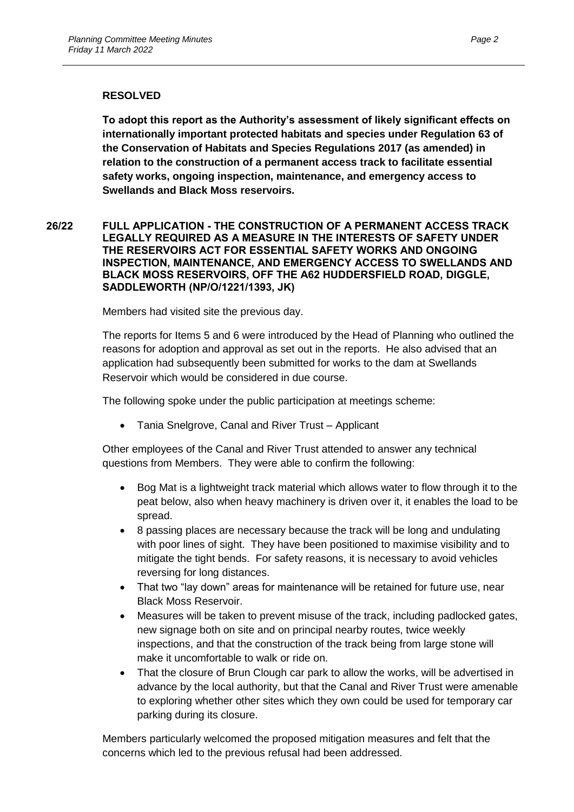## **RESOLVED**

**To adopt this report as the Authority's assessment of likely significant effects on internationally important protected habitats and species under Regulation 63 of the Conservation of Habitats and Species Regulations 2017 (as amended) in relation to the construction of a permanent access track to facilitate essential safety works, ongoing inspection, maintenance, and emergency access to Swellands and Black Moss reservoirs.**

## **26/22 FULL APPLICATION - THE CONSTRUCTION OF A PERMANENT ACCESS TRACK LEGALLY REQUIRED AS A MEASURE IN THE INTERESTS OF SAFETY UNDER THE RESERVOIRS ACT FOR ESSENTIAL SAFETY WORKS AND ONGOING INSPECTION, MAINTENANCE, AND EMERGENCY ACCESS TO SWELLANDS AND BLACK MOSS RESERVOIRS, OFF THE A62 HUDDERSFIELD ROAD, DIGGLE, SADDLEWORTH (NP/O/1221/1393, JK)**

Members had visited site the previous day.

The reports for Items 5 and 6 were introduced by the Head of Planning who outlined the reasons for adoption and approval as set out in the reports. He also advised that an application had subsequently been submitted for works to the dam at Swellands Reservoir which would be considered in due course.

The following spoke under the public participation at meetings scheme:

Tania Snelgrove, Canal and River Trust – Applicant

Other employees of the Canal and River Trust attended to answer any technical questions from Members. They were able to confirm the following:

- Bog Mat is a lightweight track material which allows water to flow through it to the peat below, also when heavy machinery is driven over it, it enables the load to be spread.
- 8 passing places are necessary because the track will be long and undulating with poor lines of sight. They have been positioned to maximise visibility and to mitigate the tight bends. For safety reasons, it is necessary to avoid vehicles reversing for long distances.
- That two "lay down" areas for maintenance will be retained for future use, near Black Moss Reservoir.
- Measures will be taken to prevent misuse of the track, including padlocked gates, new signage both on site and on principal nearby routes, twice weekly inspections, and that the construction of the track being from large stone will make it uncomfortable to walk or ride on.
- That the closure of Brun Clough car park to allow the works, will be advertised in advance by the local authority, but that the Canal and River Trust were amenable to exploring whether other sites which they own could be used for temporary car parking during its closure.

Members particularly welcomed the proposed mitigation measures and felt that the concerns which led to the previous refusal had been addressed.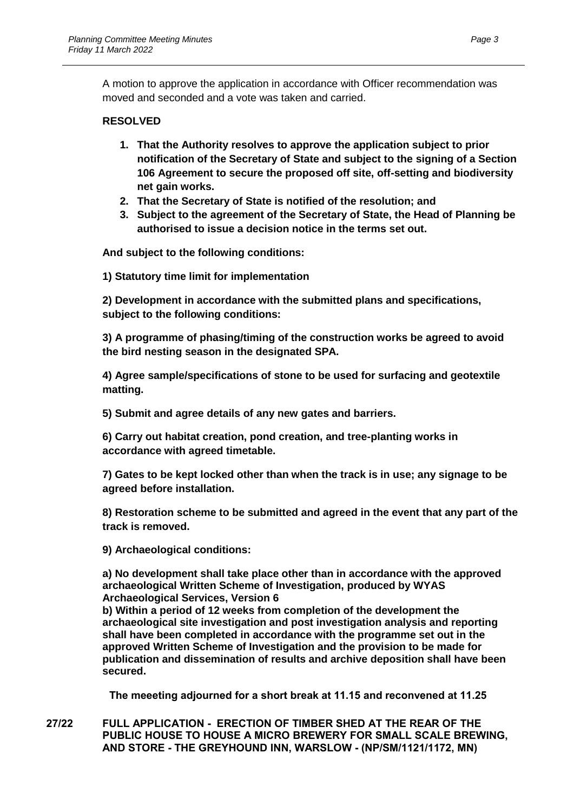A motion to approve the application in accordance with Officer recommendation was moved and seconded and a vote was taken and carried.

# **RESOLVED**

- **1. That the Authority resolves to approve the application subject to prior notification of the Secretary of State and subject to the signing of a Section 106 Agreement to secure the proposed off site, off-setting and biodiversity net gain works.**
- **2. That the Secretary of State is notified of the resolution; and**
- **3. Subject to the agreement of the Secretary of State, the Head of Planning be authorised to issue a decision notice in the terms set out.**

**And subject to the following conditions:** 

**1) Statutory time limit for implementation** 

**2) Development in accordance with the submitted plans and specifications, subject to the following conditions:** 

**3) A programme of phasing/timing of the construction works be agreed to avoid the bird nesting season in the designated SPA.** 

**4) Agree sample/specifications of stone to be used for surfacing and geotextile matting.** 

**5) Submit and agree details of any new gates and barriers.** 

**6) Carry out habitat creation, pond creation, and tree-planting works in accordance with agreed timetable.** 

**7) Gates to be kept locked other than when the track is in use; any signage to be agreed before installation.** 

**8) Restoration scheme to be submitted and agreed in the event that any part of the track is removed.** 

**9) Archaeological conditions:** 

**a) No development shall take place other than in accordance with the approved archaeological Written Scheme of Investigation, produced by WYAS Archaeological Services, Version 6**

**b) Within a period of 12 weeks from completion of the development the archaeological site investigation and post investigation analysis and reporting shall have been completed in accordance with the programme set out in the approved Written Scheme of Investigation and the provision to be made for publication and dissemination of results and archive deposition shall have been secured.**

**The meeeting adjourned for a short break at 11.15 and reconvened at 11.25**

**27/22 FULL APPLICATION - ERECTION OF TIMBER SHED AT THE REAR OF THE PUBLIC HOUSE TO HOUSE A MICRO BREWERY FOR SMALL SCALE BREWING, AND STORE - THE GREYHOUND INN, WARSLOW - (NP/SM/1121/1172, MN)**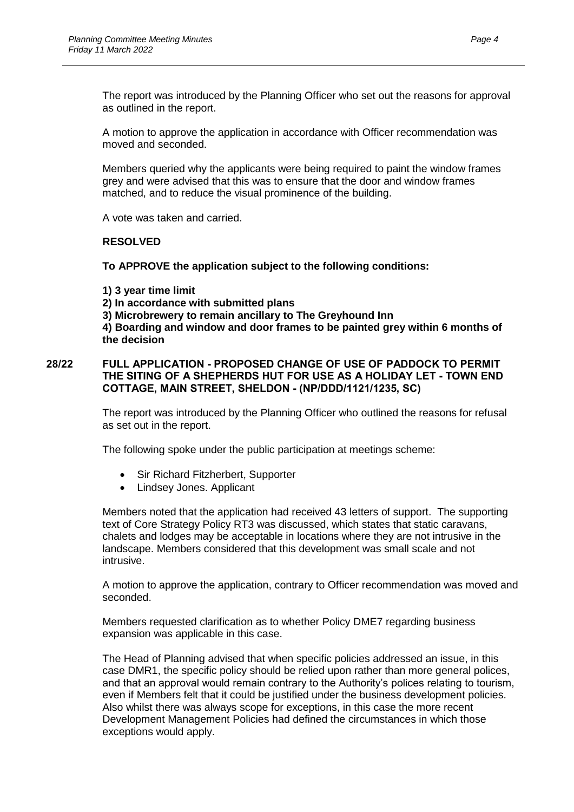The report was introduced by the Planning Officer who set out the reasons for approval as outlined in the report.

A motion to approve the application in accordance with Officer recommendation was moved and seconded.

Members queried why the applicants were being required to paint the window frames grey and were advised that this was to ensure that the door and window frames matched, and to reduce the visual prominence of the building.

A vote was taken and carried.

#### **RESOLVED**

**To APPROVE the application subject to the following conditions:**

**1) 3 year time limit 2) In accordance with submitted plans 3) Microbrewery to remain ancillary to The Greyhound Inn 4) Boarding and window and door frames to be painted grey within 6 months of the decision**

### **28/22 FULL APPLICATION - PROPOSED CHANGE OF USE OF PADDOCK TO PERMIT THE SITING OF A SHEPHERDS HUT FOR USE AS A HOLIDAY LET - TOWN END COTTAGE, MAIN STREET, SHELDON - (NP/DDD/1121/1235, SC)**

The report was introduced by the Planning Officer who outlined the reasons for refusal as set out in the report.

The following spoke under the public participation at meetings scheme:

- Sir Richard Fitzherbert, Supporter
- Lindsey Jones. Applicant

Members noted that the application had received 43 letters of support. The supporting text of Core Strategy Policy RT3 was discussed, which states that static caravans, chalets and lodges may be acceptable in locations where they are not intrusive in the landscape. Members considered that this development was small scale and not intrusive.

A motion to approve the application, contrary to Officer recommendation was moved and seconded.

Members requested clarification as to whether Policy DME7 regarding business expansion was applicable in this case.

The Head of Planning advised that when specific policies addressed an issue, in this case DMR1, the specific policy should be relied upon rather than more general polices, and that an approval would remain contrary to the Authority's polices relating to tourism, even if Members felt that it could be justified under the business development policies. Also whilst there was always scope for exceptions, in this case the more recent Development Management Policies had defined the circumstances in which those exceptions would apply.